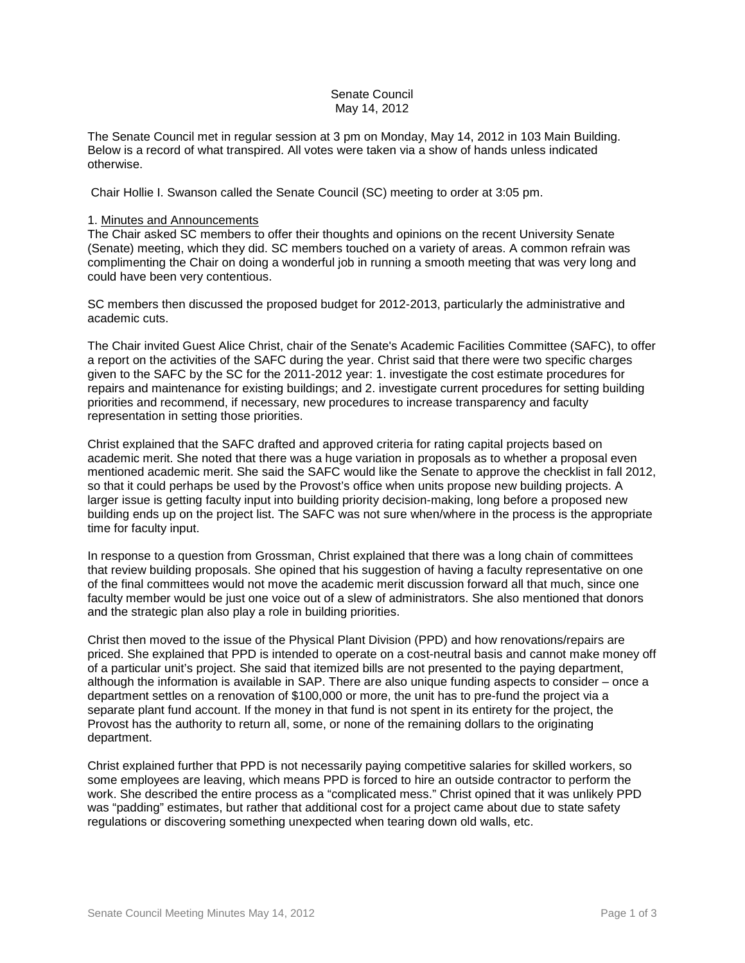# Senate Council May 14, 2012

The Senate Council met in regular session at 3 pm on Monday, May 14, 2012 in 103 Main Building. Below is a record of what transpired. All votes were taken via a show of hands unless indicated otherwise.

Chair Hollie I. Swanson called the Senate Council (SC) meeting to order at 3:05 pm.

#### 1. Minutes and Announcements

The Chair asked SC members to offer their thoughts and opinions on the recent University Senate (Senate) meeting, which they did. SC members touched on a variety of areas. A common refrain was complimenting the Chair on doing a wonderful job in running a smooth meeting that was very long and could have been very contentious.

SC members then discussed the proposed budget for 2012-2013, particularly the administrative and academic cuts.

The Chair invited Guest Alice Christ, chair of the Senate's Academic Facilities Committee (SAFC), to offer a report on the activities of the SAFC during the year. Christ said that there were two specific charges given to the SAFC by the SC for the 2011-2012 year: 1. investigate the cost estimate procedures for repairs and maintenance for existing buildings; and 2. investigate current procedures for setting building priorities and recommend, if necessary, new procedures to increase transparency and faculty representation in setting those priorities.

Christ explained that the SAFC drafted and approved criteria for rating capital projects based on academic merit. She noted that there was a huge variation in proposals as to whether a proposal even mentioned academic merit. She said the SAFC would like the Senate to approve the checklist in fall 2012, so that it could perhaps be used by the Provost's office when units propose new building projects. A larger issue is getting faculty input into building priority decision-making, long before a proposed new building ends up on the project list. The SAFC was not sure when/where in the process is the appropriate time for faculty input.

In response to a question from Grossman, Christ explained that there was a long chain of committees that review building proposals. She opined that his suggestion of having a faculty representative on one of the final committees would not move the academic merit discussion forward all that much, since one faculty member would be just one voice out of a slew of administrators. She also mentioned that donors and the strategic plan also play a role in building priorities.

Christ then moved to the issue of the Physical Plant Division (PPD) and how renovations/repairs are priced. She explained that PPD is intended to operate on a cost-neutral basis and cannot make money off of a particular unit's project. She said that itemized bills are not presented to the paying department, although the information is available in SAP. There are also unique funding aspects to consider – once a department settles on a renovation of \$100,000 or more, the unit has to pre-fund the project via a separate plant fund account. If the money in that fund is not spent in its entirety for the project, the Provost has the authority to return all, some, or none of the remaining dollars to the originating department.

Christ explained further that PPD is not necessarily paying competitive salaries for skilled workers, so some employees are leaving, which means PPD is forced to hire an outside contractor to perform the work. She described the entire process as a "complicated mess." Christ opined that it was unlikely PPD was "padding" estimates, but rather that additional cost for a project came about due to state safety regulations or discovering something unexpected when tearing down old walls, etc.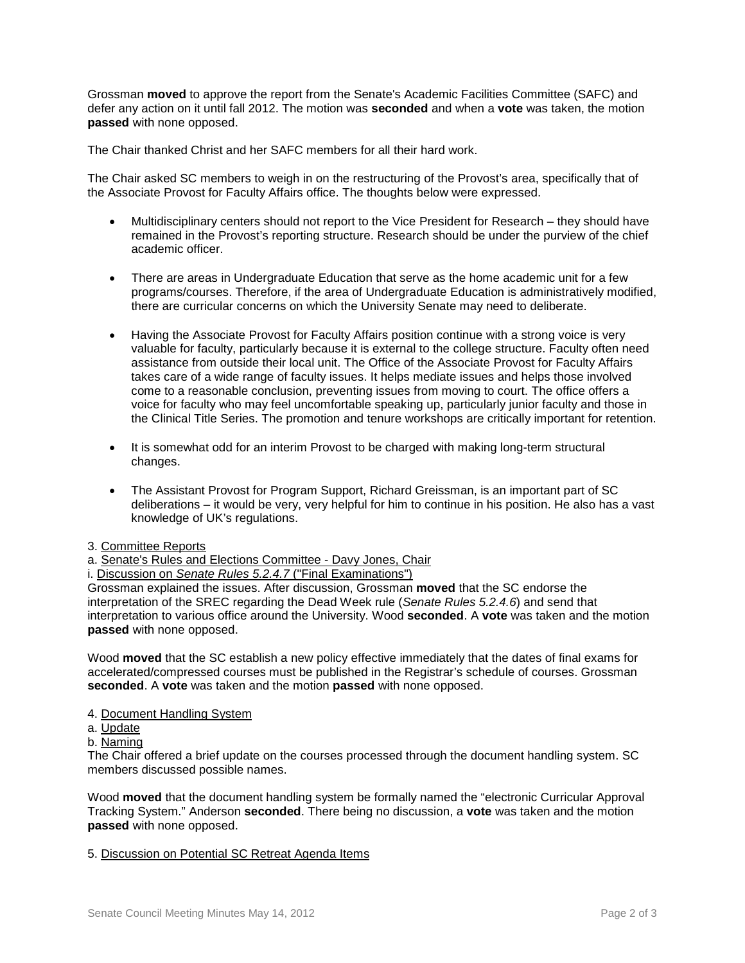Grossman **moved** to approve the report from the Senate's Academic Facilities Committee (SAFC) and defer any action on it until fall 2012. The motion was **seconded** and when a **vote** was taken, the motion **passed** with none opposed.

The Chair thanked Christ and her SAFC members for all their hard work.

The Chair asked SC members to weigh in on the restructuring of the Provost's area, specifically that of the Associate Provost for Faculty Affairs office. The thoughts below were expressed.

- Multidisciplinary centers should not report to the Vice President for Research they should have remained in the Provost's reporting structure. Research should be under the purview of the chief academic officer.
- There are areas in Undergraduate Education that serve as the home academic unit for a few programs/courses. Therefore, if the area of Undergraduate Education is administratively modified, there are curricular concerns on which the University Senate may need to deliberate.
- Having the Associate Provost for Faculty Affairs position continue with a strong voice is very valuable for faculty, particularly because it is external to the college structure. Faculty often need assistance from outside their local unit. The Office of the Associate Provost for Faculty Affairs takes care of a wide range of faculty issues. It helps mediate issues and helps those involved come to a reasonable conclusion, preventing issues from moving to court. The office offers a voice for faculty who may feel uncomfortable speaking up, particularly junior faculty and those in the Clinical Title Series. The promotion and tenure workshops are critically important for retention.
- It is somewhat odd for an interim Provost to be charged with making long-term structural changes.
- The Assistant Provost for Program Support, Richard Greissman, is an important part of SC deliberations – it would be very, very helpful for him to continue in his position. He also has a vast knowledge of UK's regulations.

## 3. Committee Reports

a. Senate's Rules and Elections Committee - Davy Jones, Chair

i. Discussion on *Senate Rules 5.2.4.7* ("Final Examinations")

Grossman explained the issues. After discussion, Grossman **moved** that the SC endorse the interpretation of the SREC regarding the Dead Week rule (*Senate Rules 5.2.4.6*) and send that interpretation to various office around the University. Wood **seconded**. A **vote** was taken and the motion **passed** with none opposed.

Wood **moved** that the SC establish a new policy effective immediately that the dates of final exams for accelerated/compressed courses must be published in the Registrar's schedule of courses. Grossman **seconded**. A **vote** was taken and the motion **passed** with none opposed.

## 4. Document Handling System

- a. Update
- b. Naming

The Chair offered a brief update on the courses processed through the document handling system. SC members discussed possible names.

Wood **moved** that the document handling system be formally named the "electronic Curricular Approval Tracking System." Anderson **seconded**. There being no discussion, a **vote** was taken and the motion **passed** with none opposed.

# 5. Discussion on Potential SC Retreat Agenda Items